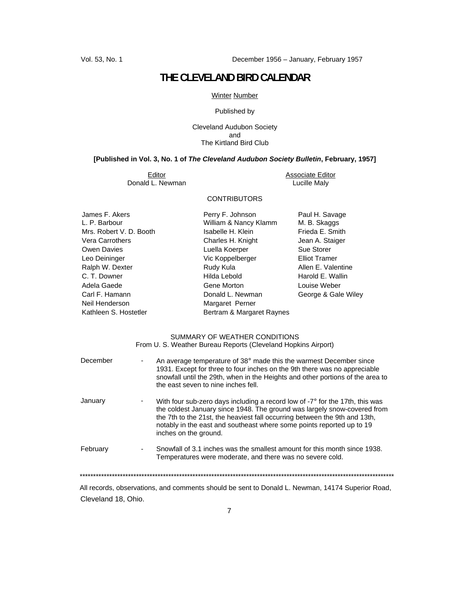# **THE CLEVELAND BIRD CALENDAR**

## Winter Number

#### Published by

Cleveland Audubon Society and The Kirtland Bird Club

# **[Published in Vol. 3, No. 1 of** *The Cleveland Audubon Society Bulletin***, February, 1957]**

Donald L. Newman

Editor **Example 2018**<br>
Editor Associate Editor<br>
Lucille Maly

# **CONTRIBUTORS**

James F. Akers **Perry F. Johnson** Paul H. Savage L. P. Barbour Paul H. Savage L. P. Barbour L. P. Barbour **M. B. Skatter William & Nancy Klamm** Neil Henderson Margaret Perner

Mrs. Robert V. D. Booth Isabelle H. Klein Frieda E. Smith Vera Carrothers **Charles H. Knight** Jean A. Staiger Owen Davies **Contact Contact Contact Contact Contact Contact Contact Contact Contact Contact Contact Contact Contact Contact Contact Contact Contact Contact Contact Contact Contact Contact Contact Contact Contact Contact C** Leo Deininger Vic Koppelberger Elliot Tramer Ralph W. Dexter **Rudy Kula Rudy Kula** Allen E. Valentine C. T. Downer **Hilda Lebold** Harold E. Wallin Adela Gaede **Gene Morton** Gene Morton Communication Controllery Controllery Adela Controllery Controllery Controllery Carl F. Hamann **Donald L. Newman** George & Gale Wiley Kathleen S. Hostetler **Bertram & Margaret Raynes** 

#### SUMMARY OF WEATHER CONDITIONS From U. S. Weather Bureau Reports (Cleveland Hopkins Airport)

| December                                                                                        | An average temperature of 38° made this the warmest December since<br>1931. Except for three to four inches on the 9th there was no appreciable<br>snowfall until the 29th, when in the Heights and other portions of the area to<br>the east seven to nine inches fell.                                                                          |
|-------------------------------------------------------------------------------------------------|---------------------------------------------------------------------------------------------------------------------------------------------------------------------------------------------------------------------------------------------------------------------------------------------------------------------------------------------------|
| January                                                                                         | With four sub-zero days including a record low of $-7^{\circ}$ for the 17th, this was<br>the coldest January since 1948. The ground was largely snow-covered from<br>the 7th to the 21st, the heaviest fall occurring between the 9th and 13th,<br>notably in the east and southeast where some points reported up to 19<br>inches on the ground. |
| February                                                                                        | Snowfall of 3.1 inches was the smallest amount for this month since 1938.<br>Temperatures were moderate, and there was no severe cold.                                                                                                                                                                                                            |
|                                                                                                 |                                                                                                                                                                                                                                                                                                                                                   |
| المعجل ومنعوريه الكابات وموموريها البامعوا وبنبهم وطالبان وطوعوه وموجوع ومستحدث ومواجع واستمعوا |                                                                                                                                                                                                                                                                                                                                                   |

 All records, observations, and comments should be sent to Donald L. Newman, 14174 Superior Road, Cleveland 18, Ohio.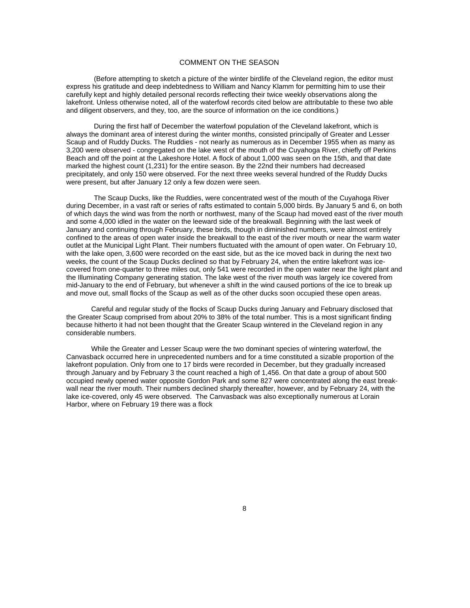#### COMMENT ON THE SEASON

(Before attempting to sketch a picture of the winter birdlife of the Cleveland region, the editor must express his gratitude and deep indebtedness to William and Nancy Klamm for permitting him to use their carefully kept and highly detailed personal records reflecting their twice weekly observations along the lakefront. Unless otherwise noted, all of the waterfowl records cited below are attributable to these two able and diligent observers, and they, too, are the source of information on the ice conditions.)

During the first half of December the waterfowl population of the Cleveland lakefront, which is always the dominant area of interest during the winter months, consisted principally of Greater and Lesser Scaup and of Ruddy Ducks. The Ruddies - not nearly as numerous as in December 1955 when as many as 3,200 were observed - congregated on the lake west of the mouth of the Cuyahoga River, chiefly off Perkins Beach and off the point at the Lakeshore Hotel. A flock of about 1,000 was seen on the 15th, and that date marked the highest count (1,231) for the entire season. By the 22nd their numbers had decreased precipitately, and only 150 were observed. For the next three weeks several hundred of the Ruddy Ducks were present, but after January 12 only a few dozen were seen.

The Scaup Ducks, like the Ruddies, were concentrated west of the mouth of the Cuyahoga River during December, in a vast raft or series of rafts estimated to contain 5,000 birds. By January 5 and 6, on both of which days the wind was from the north or northwest, many of the Scaup had moved east of the river mouth and some 4,000 idled in the water on the leeward side of the breakwall. Beginning with the last week of January and continuing through February, these birds, though in diminished numbers, were almost entirely confined to the areas of open water inside the breakwall to the east of the river mouth or near the warm water outlet at the Municipal Light Plant. Their numbers fluctuated with the amount of open water. On February 10, with the lake open, 3,600 were recorded on the east side, but as the ice moved back in during the next two weeks, the count of the Scaup Ducks declined so that by February 24, when the entire lakefront was icecovered from one-quarter to three miles out, only 541 were recorded in the open water near the light plant and the Illuminating Company generating station. The lake west of the river mouth was largely ice covered from mid-January to the end of February, but whenever a shift in the wind caused portions of the ice to break up and move out, small flocks of the Scaup as welI as of the other ducks soon occupied these open areas.

Careful and regular study of the flocks of Scaup Ducks during January and February disclosed that the Greater Scaup comprised from about 20% to 38% of the total number. This is a most significant finding because hitherto it had not been thought that the Greater Scaup wintered in the Cleveland region in any considerable numbers.

While the Greater and Lesser Scaup were the two dominant species of wintering waterfowl, the Canvasback occurred here in unprecedented numbers and for a time constituted a sizable proportion of the lakefront population. Only from one to 17 birds were recorded in December, but they gradually increased through January and by February 3 the count reached a high of 1,456. On that date a group of about 500 occupied newly opened water opposite Gordon Park and some 827 were concentrated along the east breakwall near the river mouth. Their numbers declined sharply thereafter, however, and by February 24, with the lake ice-covered, only 45 were observed. The Canvasback was also exceptionally numerous at Lorain Harbor, where on February 19 there was a flock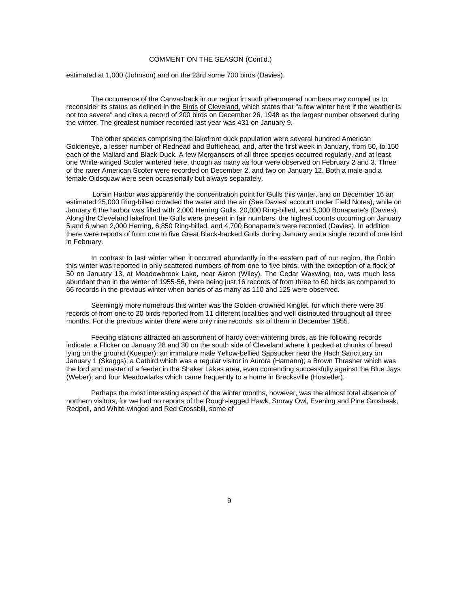## COMMENT ON THE SEASON (Cont'd.)

estimated at 1,000 (Johnson) and on the 23rd some 700 birds (Davies).

The occurrence of the Canvasback in our region in such phenomenal numbers may compel us to reconsider its status as defined in the Birds of Cleveland, which states that "a few winter here if the weather is not too severe" and cites a record of 200 birds on December 26, 1948 as the largest number observed during the winter. The greatest number recorded last year was 431 on January 9.

The other species comprising the lakefront duck population were several hundred American Goldeneye, a lesser number of Redhead and Bufflehead, and, after the first week in January, from 50, to 150 each of the Mallard and Black Duck. A few Mergansers of all three species occurred regularly, and at least one White-winged Scoter wintered here, though as many as four were observed on February 2 and 3. Three of the rarer American Scoter were recorded on December 2, and two on January 12. Both a male and a female Oldsquaw were seen occasionally but always separately.

Lorain Harbor was apparently the concentration point for Gulls this winter, and on December 16 an estimated 25,000 Ring-billed crowded the water and the air (See Davies' account under Field Notes), while on January 6 the harbor was filled with 2,000 Herring Gulls, 20,000 Ring-billed, and 5,000 Bonaparte's (Davies). Along the Cleveland lakefront the Gulls were present in fair numbers, the highest counts occurring on January 5 and 6 when 2,000 Herring, 6,850 Ring-billed, and 4,700 Bonaparte's were recorded (Davies). In addition there were reports of from one to five Great Black-backed Gulls during January and a single record of one bird in February.

In contrast to last winter when it occurred abundantly in the eastern part of our region, the Robin this winter was reported in only scattered numbers of from one to five birds, with the exception of a flock of 50 on January 13, at Meadowbrook Lake, near Akron (Wiley). The Cedar Waxwing, too, was much less abundant than in the winter of 1955-56, there being just 16 records of from three to 60 birds as compared to 66 records in the previous winter when bands of as many as 110 and 125 were observed.

Seemingly more numerous this winter was the Golden-crowned Kinglet, for which there were 39 records of from one to 20 birds reported from 11 different localities and well distributed throughout all three months. For the previous winter there were only nine records, six of them in December 1955.

Feeding stations attracted an assortment of hardy over-wintering birds, as the following records indicate: a Flicker on January 28 and 30 on the south side of Cleveland where it pecked at chunks of bread lying on the ground (Koerper); an immature male Yellow-bellied Sapsucker near the Hach Sanctuary on January 1 (Skaggs); a Catbird which was a regular visitor in Aurora (Hamann); a Brown Thrasher which was the lord and master of a feeder in the Shaker Lakes area, even contending successfully against the Blue Jays (Weber); and four Meadowlarks which came frequently to a home in Brecksville (Hostetler).

Perhaps the most interesting aspect of the winter months, however, was the almost total absence of northern visitors, for we had no reports of the Rough-legged Hawk, Snowy Owl, Evening and Pine Grosbeak, Redpoll, and White-winged and Red Crossbill, some of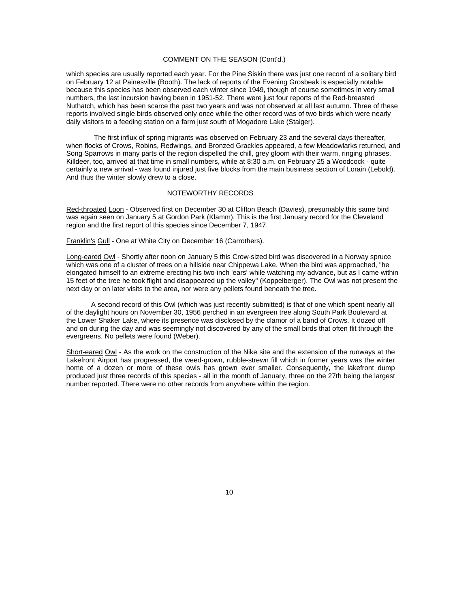# COMMENT ON THE SEASON (Cont'd.)

which species are usually reported each year. For the Pine Siskin there was just one record of a solitary bird on February 12 at Painesville (Booth). The lack of reports of the Evening Grosbeak is especially notable because this species has been observed each winter since 1949, though of course sometimes in very small numbers, the last incursion having been in 1951-52. There were just four reports of the Red-breasted Nuthatch, which has been scarce the past two years and was not observed at all last autumn. Three of these reports involved single birds observed only once while the other record was of two birds which were nearly daily visitors to a feeding station on a farm just south of Mogadore Lake (Staiger).

The first influx of spring migrants was observed on February 23 and the several days thereafter, when flocks of Crows, Robins, Redwings, and Bronzed Grackles appeared, a few Meadowlarks returned, and Song Sparrows in many parts of the region dispelled the chill, grey gloom with their warm, ringing phrases. Killdeer, too, arrived at that time in small numbers, while at 8:30 a.m. on February 25 a Woodcock - quite certainly a new arrival - was found injured just five blocks from the main business section of Lorain (Lebold). And thus the winter slowly drew to a close.

#### NOTEWORTHY RECORDS

Red-throated Loon - Observed first on December 30 at Clifton Beach (Davies), presumably this same bird was again seen on January 5 at Gordon Park (Klamm). This is the first January record for the Cleveland region and the first report of this species since December 7, 1947.

Franklin's Gull - One at White City on December 16 (Carrothers).

Long-eared Owl - Shortly after noon on January 5 this Crow-sized bird was discovered in a Norway spruce which was one of a cluster of trees on a hillside near Chippewa Lake. When the bird was approached, "he elongated himself to an extreme erecting his two-inch 'ears' while watching my advance, but as I came within 15 feet of the tree he took flight and disappeared up the valley" (Koppelberger). The Owl was not present the next day or on later visits to the area, nor were any pellets found beneath the tree.

A second record of this Owl (which was just recently submitted) is that of one which spent nearly all of the daylight hours on November 30, 1956 perched in an evergreen tree along South Park Boulevard at the Lower Shaker Lake, where its presence was disclosed by the clamor of a band of Crows. It dozed off and on during the day and was seemingly not discovered by any of the small birds that often flit through the evergreens. No pellets were found (Weber).

Short-eared Owl - As the work on the construction of the Nike site and the extension of the runways at the Lakefront Airport has progressed, the weed-grown, rubble-strewn fill which in former years was the winter home of a dozen or more of these owls has grown ever smaller. Consequently, the lakefront dump produced just three records of this species - all in the month of January, three on the 27th being the largest number reported. There were no other records from anywhere within the region.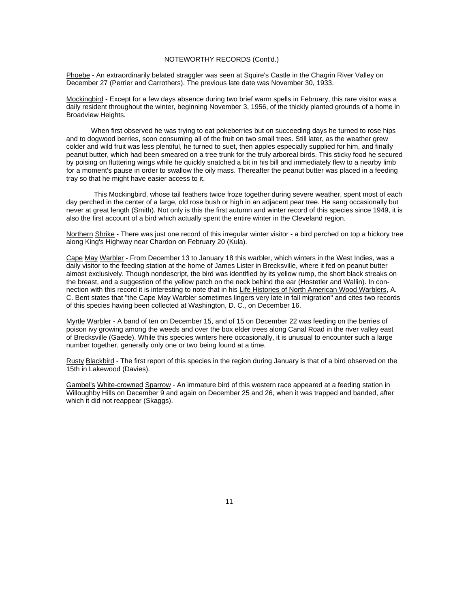# NOTEWORTHY RECORDS (Cont'd.)

Phoebe - An extraordinarily belated straggler was seen at Squire's Castle in the Chagrin River Valley on December 27 (Perrier and Carrothers). The previous late date was November 30, 1933.

Mockingbird - Except for a few days absence during two brief warm spells in February, this rare visitor was a daily resident throughout the winter, beginning November 3, 1956, of the thickly planted grounds of a home in Broadview Heights.

When first observed he was trying to eat pokeberries but on succeeding days he turned to rose hips and to dogwood berries, soon consuming all of the fruit on two small trees. Still later, as the weather grew colder and wild fruit was less plentiful, he turned to suet, then apples especially supplied for him, and finally peanut butter, which had been smeared on a tree trunk for the truly arboreal birds. This sticky food he secured by poising on fluttering wings while he quickly snatched a bit in his bill and immediately flew to a nearby limb for a moment's pause in order to swallow the oily mass. Thereafter the peanut butter was placed in a feeding tray so that he might have easier access to it.

This Mockingbird, whose tail feathers twice froze together during severe weather, spent most of each day perched in the center of a large, old rose bush or high in an adjacent pear tree. He sang occasionally but never at great length (Smith). Not only is this the first autumn and winter record of this species since 1949, it is also the first account of a bird which actually spent the entire winter in the Cleveland region.

Northern Shrike - There was just one record of this irregular winter visitor - a bird perched on top a hickory tree along King's Highway near Chardon on February 20 (Kula).

Cape May Warbler - From December 13 to January 18 this warbler, which winters in the West Indies, was a daily visitor to the feeding station at the home of James Lister in Brecksville, where it fed on peanut butter almost exclusively. Though nondescript, the bird was identified by its yellow rump, the short black streaks on the breast, and a suggestion of the yellow patch on the neck behind the ear (Hostetler and Wallin). In connection with this record it is interesting to note that in his Life Histories of North American Wood Warblers, A. C. Bent states that "the Cape May Warbler sometimes lingers very late in fall migration" and cites two records of this species having been collected at Washington, D. C., on December 16.

Myrtle Warbler - A band of ten on December 15, and of 15 on December 22 was feeding on the berries of poison ivy growing among the weeds and over the box elder trees along Canal Road in the river valley east of Brecksville (Gaede). While this species winters here occasionally, it is unusual to encounter such a large number together, generally only one or two being found at a time.

Rusty Blackbird - The first report of this species in the region during January is that of a bird observed on the 15th in Lakewood (Davies).

Gambel's White-crowned Sparrow - An immature bird of this western race appeared at a feeding station in Willoughby Hills on December 9 and again on December 25 and 26, when it was trapped and banded, after which it did not reappear (Skaggs).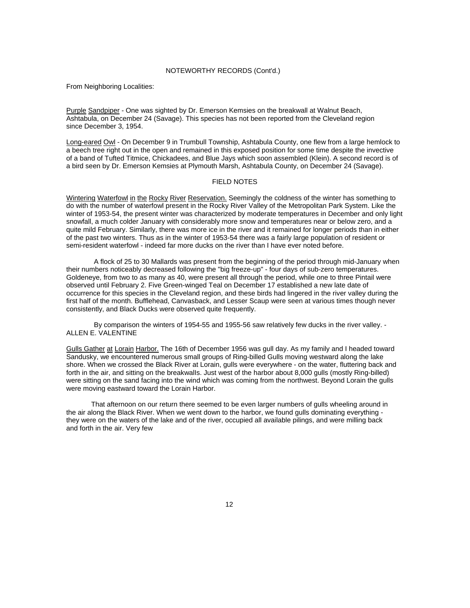#### NOTEWORTHY RECORDS (Cont'd.)

From Neighboring Localities:

Purple Sandpiper - One was sighted by Dr. Emerson Kemsies on the breakwall at Walnut Beach, Ashtabula, on December 24 (Savage). This species has not been reported from the Cleveland region since December 3, 1954.

Long-eared Owl - On December 9 in Trumbull Township, Ashtabula County, one flew from a large hemlock to a beech tree right out in the open and remained in this exposed position for some time despite the invective of a band of Tufted Titmice, Chickadees, and Blue Jays which soon assembled (Klein). A second record is of a bird seen by Dr. Emerson Kemsies at Plymouth Marsh, Ashtabula County, on December 24 (Savage).

## FIELD NOTES

Wintering Waterfowl in the Rocky River Reservation. Seemingly the coldness of the winter has something to do with the number of waterfowl present in the Rocky River Valley of the Metropolitan Park System. Like the winter of 1953-54, the present winter was characterized by moderate temperatures in December and only light snowfall, a much colder January with considerably more snow and temperatures near or below zero, and a quite mild February. Similarly, there was more ice in the river and it remained for longer periods than in either of the past two winters. Thus as in the winter of 1953-54 there was a fairly large population of resident or semi-resident waterfowl - indeed far more ducks on the river than I have ever noted before.

A flock of 25 to 30 Mallards was present from the beginning of the period through mid-January when their numbers noticeably decreased following the "big freeze-up" - four days of sub-zero temperatures. Goldeneye, from two to as many as 40, were present all through the period, while one to three Pintail were observed until February 2. Five Green-winged Teal on December 17 established a new late date of occurrence for this species in the Cleveland region, and these birds had lingered in the river valley during the first half of the month. Bufflehead, Canvasback, and Lesser Scaup were seen at various times though never consistently, and Black Ducks were observed quite frequently.

By comparison the winters of 1954-55 and 1955-56 saw relatively few ducks in the river valley. - ALLEN E. VALENTINE

Gulls Gather at Lorain Harbor. The 16th of December 1956 was gull day. As my family and I headed toward Sandusky, we encountered numerous small groups of Ring-billed Gulls moving westward along the lake shore. When we crossed the Black River at Lorain, gulls were everywhere - on the water, fluttering back and forth in the air, and sitting on the breakwalIs. Just west of the harbor about 8,000 gulls (mostly Ring-billed) were sitting on the sand facing into the wind which was coming from the northwest. Beyond Lorain the gulls were moving eastward toward the Lorain Harbor.

That afternoon on our return there seemed to be even larger numbers of gulls wheeling around in the air along the Black River. When we went down to the harbor, we found gulls dominating everything they were on the waters of the lake and of the river, occupied all available pilings, and were milling back and forth in the air. Very few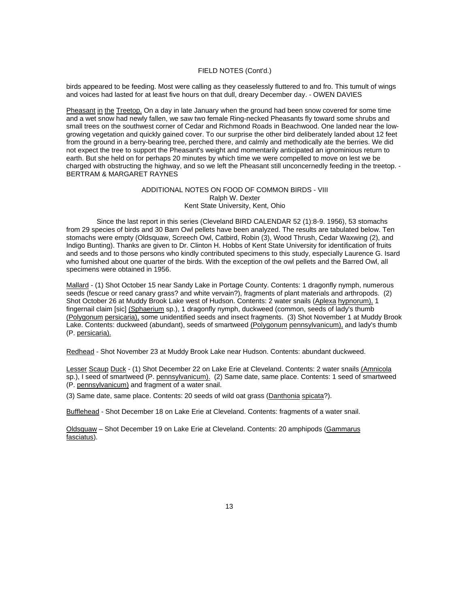## FIELD NOTES (Cont'd.)

birds appeared to be feeding. Most were calling as they ceaselessly fluttered to and fro. This tumult of wings and voices had lasted for at least five hours on that dull, dreary December day. - OWEN DAVIES

Pheasant in the Treetop. On a day in late January when the ground had been snow covered for some time and a wet snow had newly fallen, we saw two female Ring-necked Pheasants fly toward some shrubs and small trees on the southwest corner of Cedar and Richmond Roads in Beachwood. One landed near the lowgrowing vegetation and quickly gained cover. To our surprise the other bird deliberately landed about 12 feet from the ground in a berry-bearing tree, perched there, and calmly and methodically ate the berries. We did not expect the tree to support the Pheasant's weight and momentarily anticipated an ignominious return to earth. But she held on for perhaps 20 minutes by which time we were compelled to move on lest we be charged with obstructing the highway, and so we left the Pheasant still unconcernedly feeding in the treetop. - BERTRAM & MARGARET RAYNES

## ADDITIONAL NOTES ON FOOD OF COMMON BIRDS - VIII Ralph W. Dexter Kent State University, Kent, Ohio

Since the last report in this series (Cleveland BIRD CALENDAR 52 (1):8-9. 1956), 53 stomachs from 29 species of birds and 30 Barn Owl pellets have been analyzed. The results are tabulated below. Ten stomachs were empty (Oldsquaw, Screech Owl, Catbird, Robin (3), Wood Thrush, Cedar Waxwing (2), and Indigo Bunting). Thanks are given to Dr. Clinton H. Hobbs of Kent State University for identification of fruits and seeds and to those persons who kindly contributed specimens to this study, especially Laurence G. Isard who furnished about one quarter of the birds. With the exception of the owl pellets and the Barred Owl, all specimens were obtained in 1956.

Mallard - (1) Shot October 15 near Sandy Lake in Portage County. Contents: 1 dragonfly nymph, numerous seeds (fescue or reed canary grass? and white vervain?), fragments of plant materials and arthropods. (2) Shot October 26 at Muddy Brook Lake west of Hudson. Contents: 2 water snails (Aplexa hypnorum), 1 fingernail claim [sic] (Sphaerium sp.), 1 dragonfly nymph, duckweed (common, seeds of lady's thumb (Polygonum persicaria), some unidentified seeds and insect fragments. (3) Shot November 1 at Muddy Brook Lake. Contents: duckweed (abundant), seeds of smartweed (Polygonum pennsylvanicum), and lady's thumb (P. persicaria).

Redhead - Shot November 23 at Muddy Brook Lake near Hudson. Contents: abundant duckweed.

Lesser Scaup Duck - (1) Shot December 22 on Lake Erie at Cleveland. Contents: 2 water snails (Amnicola sp.), I seed of smartweed (P. pennsylvanicum). (2) Same date, same place. Contents: 1 seed of smartweed (P. pennsylvanicum) and fragment of a water snail.

(3) Same date, same place. Contents: 20 seeds of wild oat grass (Danthonia spicata?).

Bufflehead - Shot December 18 on Lake Erie at Cleveland. Contents: fragments of a water snail.

Oldsquaw – Shot December 19 on Lake Erie at Cleveland. Contents: 20 amphipods (Gammarus fasciatus).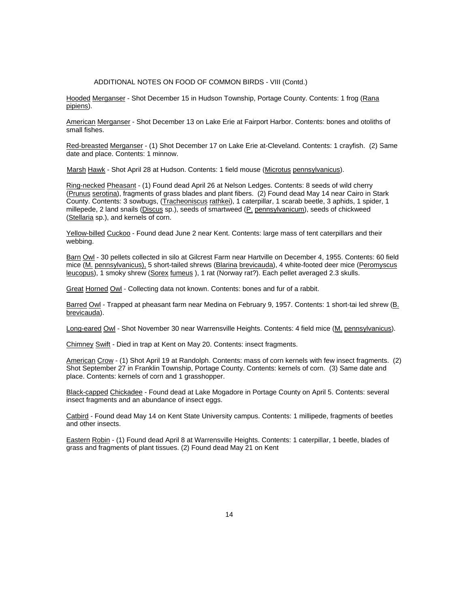#### ADDITIONAL NOTES ON FOOD OF COMMON BIRDS - VIII (Contd.)

Hooded Merganser - Shot December 15 in Hudson Township, Portage County. Contents: 1 frog (Rana pipiens).

American Merganser - Shot December 13 on Lake Erie at Fairport Harbor. Contents: bones and otoliths of small fishes.

Red-breasted Merganser - (1) Shot December 17 on Lake Erie at-Cleveland. Contents: 1 crayfish. (2) Same date and place. Contents: 1 minnow.

Marsh Hawk - Shot April 28 at Hudson. Contents: 1 field mouse (Microtus pennsylvanicus).

Ring-necked Pheasant - (1) Found dead April 26 at Nelson Ledges. Contents: 8 seeds of wild cherry (Prunus serotina), fragments of grass blades and plant fibers. (2) Found dead May 14 near Cairo in Stark County. Contents: 3 sowbugs, (Tracheoniscus rathkei), 1 caterpillar, 1 scarab beetle, 3 aphids, 1 spider, 1 millepede, 2 land snails (Discus sp.), seeds of smartweed (P. pennsylvanicum), seeds of chickweed (Stellaria sp.), and kernels of corn.

Yellow-billed Cuckoo - Found dead June 2 near Kent. Contents: large mass of tent caterpillars and their webbing.

Barn Owl - 30 pellets collected in silo at Gilcrest Farm near Hartville on December 4, 1955. Contents: 60 field mice (M. pennsylvanicus), 5 short-tailed shrews (Blarina brevicauda), 4 white-footed deer mice (Peromyscus leucopus), 1 smoky shrew (Sorex fumeus ), 1 rat (Norway rat?). Each pellet averaged 2.3 skulls.

Great Horned Owl - Collecting data not known. Contents: bones and fur of a rabbit.

Barred Owl - Trapped at pheasant farm near Medina on February 9, 1957. Contents: 1 short-tai led shrew (B. brevicauda).

Long-eared Owl - Shot November 30 near Warrensville Heights. Contents: 4 field mice (M. pennsylvanicus).

Chimney Swift - Died in trap at Kent on May 20. Contents: insect fragments.

American Crow - (1) Shot April 19 at Randolph. Contents: mass of corn kernels with few insect fragments. (2) Shot September 27 in Franklin Township, Portage County. Contents: kernels of corn. (3) Same date and place. Contents: kernels of corn and 1 grasshopper.

Black-capped Chickadee - Found dead at Lake Mogadore in Portage County on April 5. Contents: several insect fragments and an abundance of insect eggs.

Catbird - Found dead May 14 on Kent State University campus. Contents: 1 millipede, fragments of beetles and other insects.

Eastern Robin - (1) Found dead April 8 at Warrensville Heights. Contents: 1 caterpillar, 1 beetle, blades of grass and fragments of plant tissues. (2) Found dead May 21 on Kent